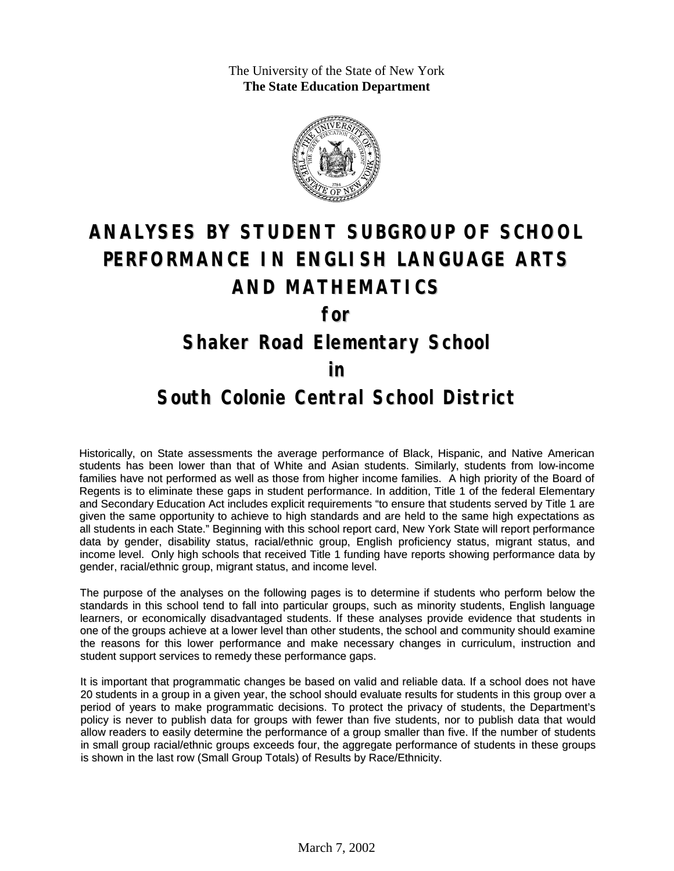The University of the State of New York **The State Education Department**



# **ANALYSES BY STUDENT SUBGROUP OF SCHOOL PERFORMANCE IN ENGLISH LANGUAGE ARTS AND MATHEMATICS**

**for**

#### **Shaker Road Elementary School**

#### **in**

### **South Colonie Central School District**

Historically, on State assessments the average performance of Black, Hispanic, and Native American students has been lower than that of White and Asian students. Similarly, students from low-income families have not performed as well as those from higher income families. A high priority of the Board of Regents is to eliminate these gaps in student performance. In addition, Title 1 of the federal Elementary and Secondary Education Act includes explicit requirements "to ensure that students served by Title 1 are given the same opportunity to achieve to high standards and are held to the same high expectations as all students in each State." Beginning with this school report card, New York State will report performance data by gender, disability status, racial/ethnic group, English proficiency status, migrant status, and income level. Only high schools that received Title 1 funding have reports showing performance data by gender, racial/ethnic group, migrant status, and income level.

The purpose of the analyses on the following pages is to determine if students who perform below the standards in this school tend to fall into particular groups, such as minority students, English language learners, or economically disadvantaged students. If these analyses provide evidence that students in one of the groups achieve at a lower level than other students, the school and community should examine the reasons for this lower performance and make necessary changes in curriculum, instruction and student support services to remedy these performance gaps.

It is important that programmatic changes be based on valid and reliable data. If a school does not have 20 students in a group in a given year, the school should evaluate results for students in this group over a period of years to make programmatic decisions. To protect the privacy of students, the Department's policy is never to publish data for groups with fewer than five students, nor to publish data that would allow readers to easily determine the performance of a group smaller than five. If the number of students in small group racial/ethnic groups exceeds four, the aggregate performance of students in these groups is shown in the last row (Small Group Totals) of Results by Race/Ethnicity.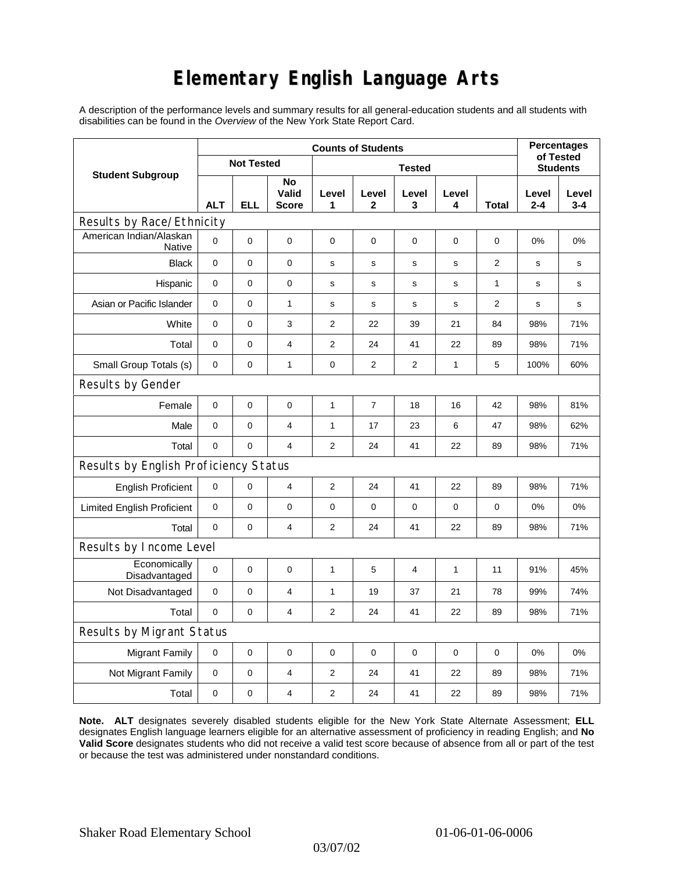## **Elementary English Language Arts**

A description of the performance levels and summary results for all general-education students and all students with disabilities can be found in the *Overview* of the New York State Report Card.

| <b>Student Subgroup</b>                  | <b>Counts of Students</b> |             |                             |                |                |                |             |       | <b>Percentages</b>           |                  |
|------------------------------------------|---------------------------|-------------|-----------------------------|----------------|----------------|----------------|-------------|-------|------------------------------|------------------|
|                                          | <b>Not Tested</b>         |             |                             | <b>Tested</b>  |                |                |             |       | of Tested<br><b>Students</b> |                  |
|                                          | <b>ALT</b>                | <b>ELL</b>  | No<br>Valid<br><b>Score</b> | Level<br>1     | Level<br>2     | Level<br>3     | Level<br>4  | Total | Level<br>$2 - 4$             | Level<br>$3 - 4$ |
| Results by Race/Ethnicity                |                           |             |                             |                |                |                |             |       |                              |                  |
| American Indian/Alaskan<br><b>Native</b> | $\mathbf 0$               | 0           | $\pmb{0}$                   | $\pmb{0}$      | 0              | 0              | 0           | 0     | 0%                           | 0%               |
| <b>Black</b>                             | $\pmb{0}$                 | 0           | 0                           | s              | $\mathbf s$    | $\mathbf s$    | $\mathbf s$ | 2     | s                            | s                |
| Hispanic                                 | 0                         | 0           | $\pmb{0}$                   | s              | $\mathbf S$    | $\mathbf S$    | s           | 1     | $\mathbf s$                  | s                |
| Asian or Pacific Islander                | 0                         | 0           | $\mathbf{1}$                | s              | s              | s              | s           | 2     | s                            | s                |
| White                                    | $\mathbf 0$               | 0           | 3                           | 2              | 22             | 39             | 21          | 84    | 98%                          | 71%              |
| Total                                    | $\mathbf 0$               | 0           | $\overline{\mathbf{4}}$     | 2              | 24             | 41             | 22          | 89    | 98%                          | 71%              |
| Small Group Totals (s)                   | 0                         | 0           | 1                           | 0              | 2              | 2              | 1           | 5     | 100%                         | 60%              |
| Results by Gender                        |                           |             |                             |                |                |                |             |       |                              |                  |
| Female                                   | $\mathbf 0$               | $\mathsf 0$ | $\pmb{0}$                   | 1              | $\overline{7}$ | 18             | 16          | 42    | 98%                          | 81%              |
| Male                                     | $\mathbf 0$               | 0           | 4                           | 1              | 17             | 23             | 6           | 47    | 98%                          | 62%              |
| Total                                    | 0                         | 0           | $\overline{4}$              | 2              | 24             | 41             | 22          | 89    | 98%                          | 71%              |
| Results by English Proficiency Status    |                           |             |                             |                |                |                |             |       |                              |                  |
| <b>English Proficient</b>                | 0                         | 0           | 4                           | 2              | 24             | 41             | 22          | 89    | 98%                          | 71%              |
| <b>Limited English Proficient</b>        | $\mathbf 0$               | 0           | $\pmb{0}$                   | $\pmb{0}$      | 0              | 0              | 0           | 0     | 0%                           | 0%               |
| Total                                    | $\mathbf 0$               | 0           | $\overline{4}$              | 2              | 24             | 41             | 22          | 89    | 98%                          | 71%              |
| Results by Income Level                  |                           |             |                             |                |                |                |             |       |                              |                  |
| Economically<br>Disadvantaged            | $\mathbf 0$               | 0           | $\pmb{0}$                   | $\mathbf{1}$   | 5              | $\overline{4}$ | 1           | 11    | 91%                          | 45%              |
| Not Disadvantaged                        | $\mathbf 0$               | 0           | $\overline{4}$              | $\mathbf{1}$   | 19             | 37             | 21          | 78    | 99%                          | 74%              |
| Total                                    | $\mathbf 0$               | 0           | 4                           | 2              | 24             | 41             | 22          | 89    | 98%                          | 71%              |
| Results by Migrant Status                |                           |             |                             |                |                |                |             |       |                              |                  |
| <b>Migrant Family</b>                    | 0                         | 0           | $\mathbf 0$                 | 0              | 0              | $\mathbf 0$    | 0           | 0     | 0%                           | 0%               |
| Not Migrant Family                       | $\pmb{0}$                 | 0           | 4                           | $\overline{2}$ | 24             | 41             | 22          | 89    | 98%                          | 71%              |
| Total                                    | 0                         | 0           | $\overline{4}$              | $\overline{2}$ | 24             | 41             | 22          | 89    | 98%                          | 71%              |

**Note. ALT** designates severely disabled students eligible for the New York State Alternate Assessment; **ELL** designates English language learners eligible for an alternative assessment of proficiency in reading English; and **No Valid Score** designates students who did not receive a valid test score because of absence from all or part of the test or because the test was administered under nonstandard conditions.